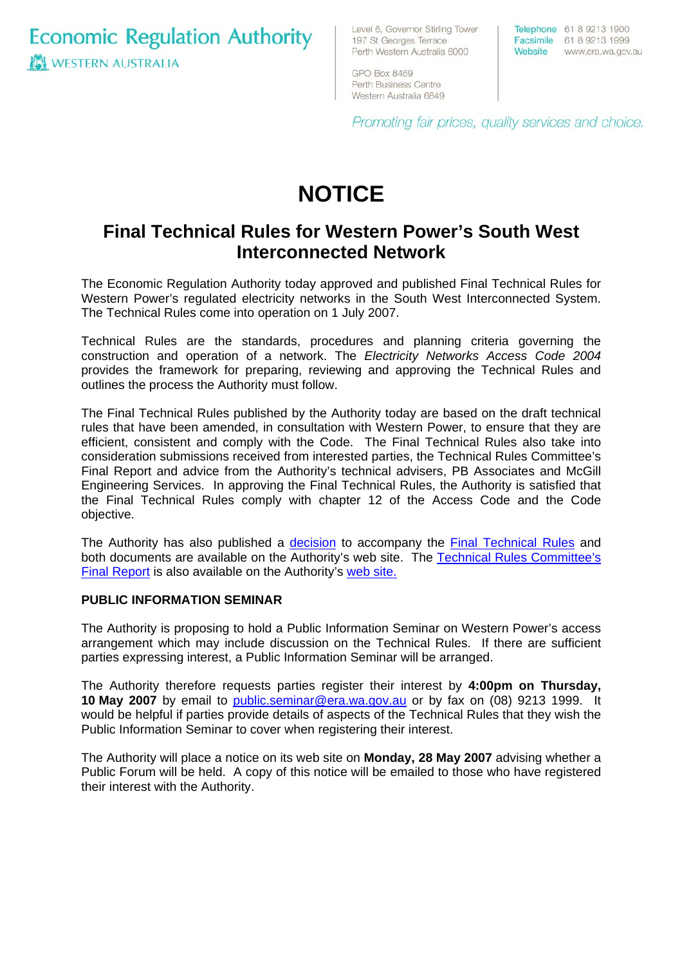**Economic Regulation Authority IS WESTERN AUSTRALIA** 

Level 6, Governor Stirling Tower 197 St Georges Terrace Perth Western Australia 6000

**GPO Box 8469** Perth Business Centre Western Australia 6849 Telephone 61 8 9213 1900 Facsimile 61 8 9213 1999 Website www.era.wa.gov.au

Promoting fair prices, quality services and choice.

# **NOTICE**

# **Final Technical Rules for Western Power's South West Interconnected Network**

The Economic Regulation Authority today approved and published Final Technical Rules for Western Power's regulated electricity networks in the South West Interconnected System. The Technical Rules come into operation on 1 July 2007.

Technical Rules are the standards, procedures and planning criteria governing the construction and operation of a network. The *Electricity Networks Access Code 2004* provides the framework for preparing, reviewing and approving the Technical Rules and outlines the process the Authority must follow.

Final Report and advice from the Authority's technical advisers, PB Associates and McGill The Final Technical Rules published by the Authority today are based on the draft technical rules that have been amended, in consultation with Western Power, to ensure that they are efficient, consistent and comply with the Code. The Final Technical Rules also take into consideration submissions received from interested parties, the Technical Rules Committee's Engineering Services. In approving the Final Technical Rules, the Authority is satisfied that the Final Technical Rules comply with chapter 12 of the Access Code and the Code objective.

The Authority has also published a [decision](http://www.era.wa.gov.au/cproot/5556/24348/20070426%20Technical%20Rules%20Final%20Decision.pdf) to accompany the [Final Technical Rules](http://www.era.wa.gov.au/cproot/5560/24359/20070426%20Technical%20Rules%20Final%20WE3605551V5.pdf) and [both documents are available on the Authority's web site. The Technical Rules Committee's](http://www.era.wa.gov.au/cproot/5557/24351/20070426%20Technical%20Rules%20Committee%20Final%20Report%20June%202006.pdf) Final Report is also available on the Authority's [web site](http://www.era.wa.gov.au/cproot/5557/24351/20070426%20Technical%20Rules%20Committee%20Final%20Report%20June%202006.pdf).

#### **PUBLIC INFORMATION SEMINAR**

parties expressing interest, a Public Information Seminar will be arranged. The Authority is proposing to hold a Public Information Seminar on Western Power's access arrangement which may include discussion on the Technical Rules. If there are sufficient

The Authority therefore requests parties register their interest by 4:00pm on Thursday, **10 May 2007** by email to public.seminar@era.wa.gov.au or by fax on (08) 9213 1999. It would be helpful if parties provide details of aspects of the Technical Rules that they wish the Public Information Seminar to cover when registering their interest.

The Authority will place a notice on its web site on **Monday, 28 May 2007** advising whether a Public Forum will be held. A copy of this notice will be emailed to those who have registered their interest with the Authority.